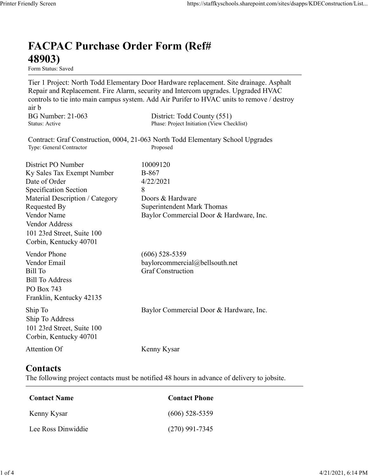## FACPAC Purchase Order Form (Ref# 48903)

Form Status: Saved

Tier 1 Project: North Todd Elementary Door Hardware replacement. Site drainage. Asphalt Repair and Replacement. Fire Alarm, security and Intercom upgrades. Upgraded HVAC controls to tie into main campus system. Add Air Purifer to HVAC units to remove / destroy air b https://staffkyschools.sharepoint.com/sites/dsapps/KDEConstructic<br> **FACPAC Purchase Order Form (Ref#**<br> **FERIOR 18903)**<br>
Form Status: Saved<br>
Tier 1 Project: North Todd Elementary Door Hardware replacement. Site drainage. As https://staffkyschools.sharepoint.com/sites/dsapps/KDEConstructic<br> **FACPAC Purchase Order Form (Ref#**<br>
H8903)<br>
Tier 1 Project: North Todd Elementary Door Hardware replacement. Site drainage. Asphalt<br>
Repair and Replacement Contract: Graf Construction, 0004, 21-063 North Todd Elementary School Upgrades https://staffkyschools.sharepoint.com/sites/dsarps/KDFConstructic<br> **FACPAC Purchase Order Form (Ref#**<br>
Form Status: Saved<br>
Form Status: Saved<br>
Terp 1 Project: North Todd Elementary Door Hardware replacement. Site drainage. **FACPAC Purchase Order Form (Ref#** $\bf{48903}$ <br> **Form Status:** Saved<br>
Tier 1 Project: North Todd Elementary Door Hardware replacement. Site drainage. Asphalt<br>
Repair and Replacement. Fire Alarm, security and Intercom upgra **FACPAC Purchase Order Form (Ref#**<br> **48903)**<br>
Form Stans: Saved<br>
Form Stans: Saved<br>
Terpical: North Todd Elementary Door Hardware replacement. Site drainage. As<br>
Repair and Replacement. Fire Alarm, security and Intercom u **FACPAC Purchase Order Form (Ref#** $\bf{48903}$ <br>
Form Status: Saved<br>
Tier 1 Project: North Todd Elementary Door Hardware replacement. Site drainage. Asphalt<br>
Tier 1 Project: North Todd Elementary Door Hardware replacement. **FACPAC Purchase Order Form (Ref#**<br> **48903)**<br>
Form Status: Saved<br>
Tier 1 Project: North Todd Elementary Door Hardware replacement. Site drainage. Asphalt<br>
Repair and Replacement. Fire Alarm, security and Intercom upgrades **FACPAC Purchase Order Form (Ref#**<br> **48903)**<br>
Form States Saved<br>
Term Franciscosts<br>
Term Propertier 1 Propertier Mond Elementary Door Hardware replacement. Site drainage. Asphalt<br>
Tespair and Replacement. Fire Alarm, secu **48903)**<br>
Form Status: Saved<br>
Tier 1 Project: North Todd Elementary Door Hardware replacement. Site drainage. Asphalt<br>
Repair and Replacement. Fire Alarm, security and Intercom upgrades. Upgraded HVAC<br>
econtrols to tie in **From States:** Saved<br> **Form States:** Saved<br>
Tree T Project: North Todd Elementary Door Hardware replacement. Site drainage. Asphalt<br>
Repair and Replacement. Fire Alarm, security and Intercom upgrades. Upgraded HVAC<br>
entroi Vendor Address 101 23rd Street, Suite 100 Corbin, Kentucky 40701 controls to the into main campus system. Add Air Puriter to HVAC units to remove / destroy<br>
air b<br>
air b<br>
BG Number: 21-063 District: Todd County (551)<br>
Status: Active<br>
Contract: Graf Construction, 0004, 21-063 North Todd ar b<br>
BG Number: 21-063 District: Todd County (551)<br>
Status: Active<br>
Contract: Graf Construction, 0004, 21-063 North Todd Elementary School Upgrades<br>
Type: General Contractor<br>
District PO Number<br>
District PO Number<br>
Distri BG Number: 21-063<br>
Bill To Construction, 0004, 21-063 North Told County (New Checkliss)<br>
Contract: Graf Construction, 0004, 21-063 North Told Elementary School Upgrades<br>
Type: General Contractor<br>
District PO Number<br>
Distri Bill To Address PO Box 743 Franklin, Kentucky 42135 District PO Number<br>
IS Notes To Commercial Dascription<br>
Sky Sales Tax Exempt Number<br>
Short-Scription (Actegory<br>
Shorterial Description / Category<br>
Material Description / Category<br>
Nondor Name<br>
Nendor Commercial Door & Hard Ship To Address 101 23rd Street, Suite 100 Corbin, Kentucky 40701 Material Description / Category<br>
Requested By<br>
Requested By<br>
Romercial Door & Hardware, Inc.<br>
Vendor Address<br>
Vendor Address<br>
Orbin, Kentucky 40701<br>
19.1 23rd Street, Suite 100<br>
Wendor Phone<br>
(606) 528-5359<br>
Vendor Phone<br> Contact Name<br>
Conditional Contact Phone<br>
Contact Phone<br>
Exil To Address<br>
Contact Sill To Address<br>
Contact Construction<br>
In To Address<br>
In To Address<br>
In To Address<br>
District, Suite 100<br>
Contact Name<br>
Contact S<br>
the follow Vendor Email<br>
Itil To<br>
Itil To<br>
Itil To<br>
Sull To<br>
Itil To<br>
Sull To<br>
Address<br>
To<br>
Do Dox 743<br>
In p To<br>
In To<br>
In To<br>
In To<br>
Sull Strucky 42135<br>
In To<br>
Do 23rd Strucky 40701<br>
Itention Of<br>
Nenny Kysar<br> **Contact Server, Sullar** Sill To Address<br>
Co Box 743<br>
Yalkin, Kentucky 42135<br>
hip To<br>
Tranklin, Kentucky 42135<br>
hip To Address<br>
hip To Address<br>
hip To Address<br>
Don 12316 Street, Suite 100<br>
Orbin, Kentucky 40701<br>
Lee Ross Dinwiddie<br>
Contact Name<br>
C

## **Contacts**

The following project contacts must be notified 48 hours in advance of delivery to jobsite.

| <b>Contact Name</b> | <b>Contact Phone</b> |
|---------------------|----------------------|
| Kenny Kysar         | $(606)$ 528-5359     |
| Lee Ross Dinwiddie  | $(270)$ 991-7345     |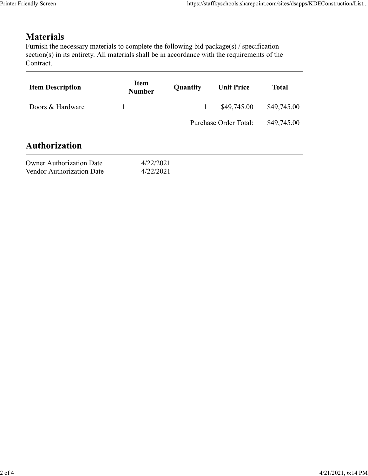## **Materials**

| endly Screen                                                                                                                                                                                                               |                              |              | https://staffkyschools.sharepoint.com/sites/dsapps/KDEConstruction/List |              |
|----------------------------------------------------------------------------------------------------------------------------------------------------------------------------------------------------------------------------|------------------------------|--------------|-------------------------------------------------------------------------|--------------|
|                                                                                                                                                                                                                            |                              |              |                                                                         |              |
| <b>Materials</b><br>Furnish the necessary materials to complete the following bid package(s) / specification<br>section(s) in its entirety. All materials shall be in accordance with the requirements of the<br>Contract. |                              |              |                                                                         |              |
| <b>Item Description</b>                                                                                                                                                                                                    | <b>Item</b><br><b>Number</b> | Quantity     | <b>Unit Price</b>                                                       | <b>Total</b> |
| Doors & Hardware                                                                                                                                                                                                           | $\mathbf{1}$                 | $\mathbf{1}$ | \$49,745.00                                                             | \$49,745.00  |
|                                                                                                                                                                                                                            |                              |              | Purchase Order Total:                                                   | \$49,745.00  |
| <b>Authorization</b>                                                                                                                                                                                                       |                              |              |                                                                         |              |
| <b>Owner Authorization Date</b><br>Vendor Authorization Date                                                                                                                                                               | 4/22/2021<br>4/22/2021       |              |                                                                         |              |
|                                                                                                                                                                                                                            |                              |              |                                                                         |              |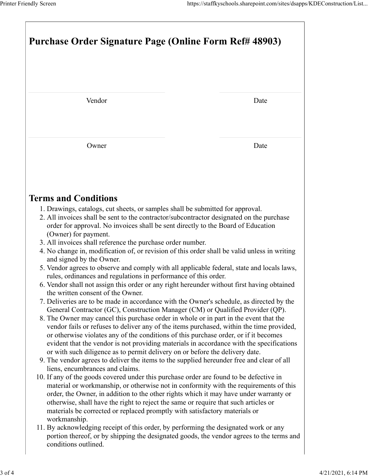|                                                                                                                                                                                                                                                                                                                                                                                                                                                                                             | https://staffkyschools.sharepoint.com/sites/dsapps/KDEConstruction/List |  |  |
|---------------------------------------------------------------------------------------------------------------------------------------------------------------------------------------------------------------------------------------------------------------------------------------------------------------------------------------------------------------------------------------------------------------------------------------------------------------------------------------------|-------------------------------------------------------------------------|--|--|
| <b>Purchase Order Signature Page (Online Form Ref# 48903)</b>                                                                                                                                                                                                                                                                                                                                                                                                                               |                                                                         |  |  |
| Vendor                                                                                                                                                                                                                                                                                                                                                                                                                                                                                      | Date                                                                    |  |  |
|                                                                                                                                                                                                                                                                                                                                                                                                                                                                                             |                                                                         |  |  |
| Owner                                                                                                                                                                                                                                                                                                                                                                                                                                                                                       | Date                                                                    |  |  |
| <b>Terms and Conditions</b><br>1. Drawings, catalogs, cut sheets, or samples shall be submitted for approval.<br>2. All invoices shall be sent to the contractor/subcontractor designated on the purchase                                                                                                                                                                                                                                                                                   |                                                                         |  |  |
| order for approval. No invoices shall be sent directly to the Board of Education<br>(Owner) for payment.<br>3. All invoices shall reference the purchase order number.<br>4. No change in, modification of, or revision of this order shall be valid unless in writing                                                                                                                                                                                                                      |                                                                         |  |  |
| and signed by the Owner.<br>5. Vendor agrees to observe and comply with all applicable federal, state and locals laws,<br>rules, ordinances and regulations in performance of this order.<br>6. Vendor shall not assign this order or any right hereunder without first having obtained<br>the written consent of the Owner.                                                                                                                                                                |                                                                         |  |  |
| 7. Deliveries are to be made in accordance with the Owner's schedule, as directed by the<br>General Contractor (GC), Construction Manager (CM) or Qualified Provider (QP).<br>8. The Owner may cancel this purchase order in whole or in part in the event that the<br>vendor fails or refuses to deliver any of the items purchased, within the time provided,<br>or otherwise violates any of the conditions of this purchase order, or if it becomes                                     |                                                                         |  |  |
| evident that the vendor is not providing materials in accordance with the specifications<br>or with such diligence as to permit delivery on or before the delivery date.<br>9. The vendor agrees to deliver the items to the supplied hereunder free and clear of all<br>liens, encumbrances and claims.<br>10. If any of the goods covered under this purchase order are found to be defective in<br>material or workmanship, or otherwise not in conformity with the requirements of this |                                                                         |  |  |
| order, the Owner, in addition to the other rights which it may have under warranty or<br>otherwise, shall have the right to reject the same or require that such articles or<br>materials be corrected or replaced promptly with satisfactory materials or<br>workmanship.                                                                                                                                                                                                                  |                                                                         |  |  |
| 11. By acknowledging receipt of this order, by performing the designated work or any<br>portion thereof, or by shipping the designated goods, the vendor agrees to the terms and<br>conditions outlined.                                                                                                                                                                                                                                                                                    |                                                                         |  |  |